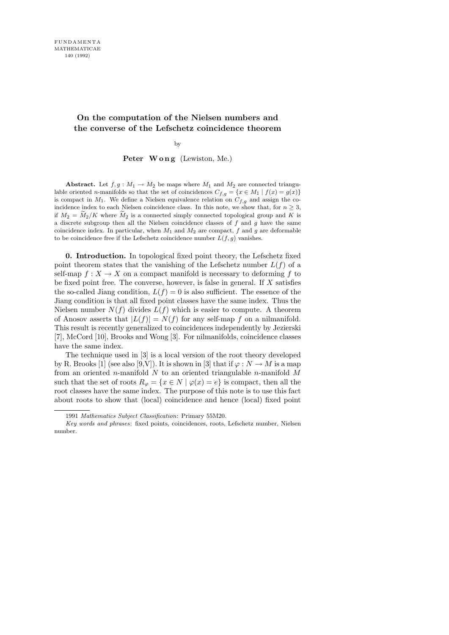# On the computation of the Nielsen numbers and the converse of the Lefschetz coincidence theorem

by

## Peter Wong (Lewiston, Me.)

Abstract. Let  $f, g: M_1 \to M_2$  be maps where  $M_1$  and  $M_2$  are connected triangulable oriented n-manifolds so that the set of coincidences  $C_{f,g} = \{x \in M_1 \mid f(x) = g(x)\}\$ is compact in  $M_1$ . We define a Nielsen equivalence relation on  $C_{f,g}$  and assign the coincidence index to each Nielsen coincidence class. In this note, we show that, for  $n \geq 3$ , if  $M_2 = M_2/K$  where  $M_2$  is a connected simply connected topological group and K is a discrete subgroup then all the Nielsen coincidence classes of  $f$  and  $g$  have the same coincidence index. In particular, when  $M_1$  and  $M_2$  are compact, f and g are deformable to be coincidence free if the Lefschetz coincidence number  $L(f, g)$  vanishes.

0. Introduction. In topological fixed point theory, the Lefschetz fixed point theorem states that the vanishing of the Lefschetz number  $L(f)$  of a self-map  $f: X \to X$  on a compact manifold is necessary to deforming f to be fixed point free. The converse, however, is false in general. If  $X$  satisfies the so-called Jiang condition,  $L(f) = 0$  is also sufficient. The essence of the Jiang condition is that all fixed point classes have the same index. Thus the Nielsen number  $N(f)$  divides  $L(f)$  which is easier to compute. A theorem of Anosov asserts that  $|L(f)| = N(f)$  for any self-map f on a nilmanifold. This result is recently generalized to coincidences independently by Jezierski [7], McCord [10], Brooks and Wong [3]. For nilmanifolds, coincidence classes have the same index.

The technique used in [3] is a local version of the root theory developed by R. Brooks [1] (see also [9,V]). It is shown in [3] that if  $\varphi : N \to M$  is a map from an oriented n-manifold  $N$  to an oriented triangulable n-manifold  $M$ such that the set of roots  $R_{\varphi} = \{x \in N \mid \varphi(x) = e\}$  is compact, then all the root classes have the same index. The purpose of this note is to use this fact about roots to show that (local) coincidence and hence (local) fixed point

<sup>1991</sup> Mathematics Subject Classification: Primary 55M20.

Key words and phrases: fixed points, coincidences, roots, Lefschetz number, Nielsen number.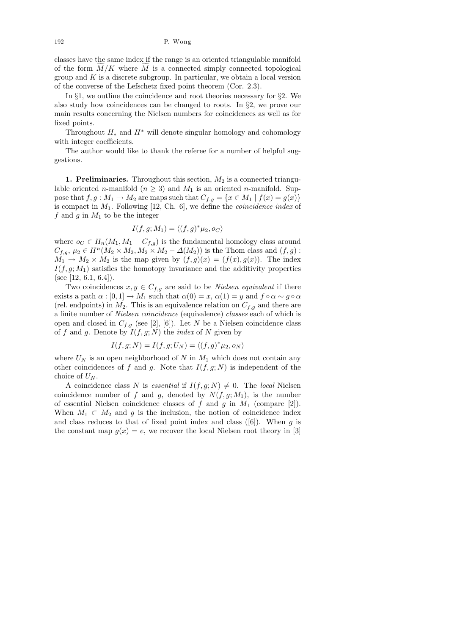192 P. Wong

classes have the same index if the range is an oriented triangulable manifold of the form  $M/K$  where M is a connected simply connected topological group and  $K$  is a discrete subgroup. In particular, we obtain a local version of the converse of the Lefschetz fixed point theorem (Cor. 2.3).

In §1, we outline the coincidence and root theories necessary for §2. We also study how coincidences can be changed to roots. In §2, we prove our main results concerning the Nielsen numbers for coincidences as well as for fixed points.

Throughout  $H_*$  and  $H^*$  will denote singular homology and cohomology with integer coefficients.

The author would like to thank the referee for a number of helpful suggestions.

**1. Preliminaries.** Throughout this section,  $M_2$  is a connected triangulable oriented *n*-manifold ( $n \geq 3$ ) and  $M_1$  is an oriented *n*-manifold. Suppose that  $f, g: M_1 \to M_2$  are maps such that  $C_{f,g} = \{x \in M_1 \mid f(x) = g(x)\}$ is compact in  $M_1$ . Following [12, Ch. 6], we define the *coincidence index* of f and g in  $M_1$  to be the integer

$$
I(f,g;M_1) = \langle (f,g)^* \mu_2, o_C \rangle
$$

where  $o_C \in H_n(M_1, M_1 - C_{f,g})$  is the fundamental homology class around  $C_{f,g}, \mu_2 \in H^n(M_2 \times M_2, M_2 \times M_2 - \Delta(M_2))$  is the Thom class and  $(f, g)$ :  $M_1 \rightarrow M_2 \times M_2$  is the map given by  $(f, g)(x) = (f(x), g(x))$ . The index  $I(f, g; M_1)$  satisfies the homotopy invariance and the additivity properties (see [12, 6.1, 6.4]).

Two coincidences  $x, y \in C_{f,g}$  are said to be *Nielsen equivalent* if there exists a path  $\alpha : [0,1] \to M_1$  such that  $\alpha(0) = x$ ,  $\alpha(1) = y$  and  $f \circ \alpha \sim g \circ \alpha$ (rel. endpoints) in  $M_2$ . This is an equivalence relation on  $C_{f,q}$  and there are a finite number of Nielsen coincidence (equivalence) classes each of which is open and closed in  $C_{f,g}$  (see [2], [6]). Let N be a Nielsen coincidence class of f and g. Denote by  $I(f, g; N)$  the *index* of N given by

$$
I(f,g;N) = I(f,g;U_N) = \langle (f,g)^* \mu_2, o_N \rangle
$$

where  $U_N$  is an open neighborhood of N in  $M_1$  which does not contain any other coincidences of f and g. Note that  $I(f, g; N)$  is independent of the choice of  $U_N$ .

A coincidence class N is essential if  $I(f, g; N) \neq 0$ . The local Nielsen coincidence number of f and g, denoted by  $N(f, g; M_1)$ , is the number of essential Nielsen coincidence classes of f and g in  $M_1$  (compare [2]). When  $M_1 \subset M_2$  and q is the inclusion, the notion of coincidence index and class reduces to that of fixed point index and class  $([6])$ . When g is the constant map  $g(x) = e$ , we recover the local Nielsen root theory in [3]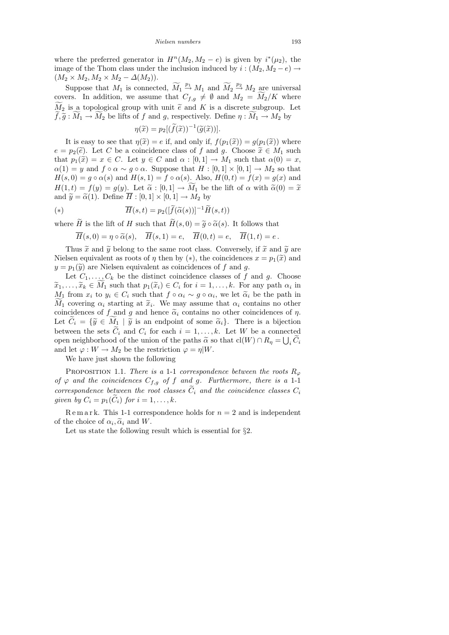where the preferred generator in  $H^n(M_2, M_2 - e)$  is given by  $i^*(\mu_2)$ , the image of the Thom class under the inclusion induced by  $i : (M_2, M_2 - e) \rightarrow$  $(M_2 \times M_2, M_2 \times M_2 - \Delta(M_2)).$ 

Suppose that  $M_1$  is connected,  $\widetilde{M}_1 \stackrel{p_1}{\sim} M_1$  and  $\widetilde{M}_2 \stackrel{p_2}{\to} M_2$  are universal covers. In addition, we assume that  $C_{f,g} \neq \emptyset$  and  $M_2 = \widetilde{M_2}/K$  where  $\widetilde{M}_2$  is a topological group with unit  $\widetilde{e}$  and K is a discrete subgroup. Let  $f, \tilde{g}: M_1 \to M_2$  be lifts of f and g, respectively. Define  $\eta: M_1 \to M_2$  by

$$
\eta(\widetilde{x}) = p_2[(\widetilde{f}(\widetilde{x}))^{-1}(\widetilde{g}(\widetilde{x}))].
$$

It is easy to see that  $\eta(\tilde{x}) = e$  if, and only if,  $f(p_1(\tilde{x})) = g(p_1(\tilde{x}))$  where  $e = p_2(\tilde{e})$ . Let C be a coincidence class of f and g. Choose  $\tilde{x} \in M_1$  such that  $p_1(\tilde{x}) = x \in C$ . Let  $y \in C$  and  $\alpha : [0,1] \to M_1$  such that  $\alpha(0) = x$ ,  $\alpha(1) = y$  and  $f \circ \alpha \sim g \circ \alpha$ . Suppose that  $H : [0,1] \times [0,1] \to M_2$  so that  $H(s, 0) = g \circ \alpha(s)$  and  $H(s, 1) = f \circ \alpha(s)$ . Also,  $H(0, t) = f(x) = g(x)$  and  $H(1,t) = f(y) = g(y)$ . Let  $\tilde{\alpha} : [0,1] \to M_1$  be the lift of  $\alpha$  with  $\tilde{\alpha}(0) = \tilde{x}$ and  $\widetilde{y} = \widetilde{\alpha}(1)$ . Define  $\overline{H} : [0,1] \times [0,1] \rightarrow M_2$  by

(\*) 
$$
\overline{H}(s,t) = p_2([\widetilde{f}(\widetilde{\alpha}(s))]^{-1}\widetilde{H}(s,t))
$$

where  $\widetilde{H}$  is the lift of H such that  $\widetilde{H}(s, 0) = \widetilde{g} \circ \widetilde{\alpha}(s)$ . It follows that

$$
\overline{H}(s,0) = \eta \circ \widetilde{\alpha}(s), \quad \overline{H}(s,1) = e, \quad \overline{H}(0,t) = e, \quad \overline{H}(1,t) = e.
$$

Thus  $\tilde{x}$  and  $\tilde{y}$  belong to the same root class. Conversely, if  $\tilde{x}$  and  $\tilde{y}$  are Nielsen equivalent as roots of  $\eta$  then by (\*), the coincidences  $x = p_1(\tilde{x})$  and  $y = p_1(\tilde{y})$  are Nielsen equivalent as coincidences of f and g.

Let  $C_1, \ldots, C_k$  be the distinct coincidence classes of f and g. Choose  $\widetilde{x}_1, \ldots, \widetilde{x}_k \in M_1$  such that  $p_1(\widetilde{x}_i) \in C_i$  for  $i = 1, \ldots, k$ . For any path  $\alpha_i$  in  $M_i$  from  $x_i$  to  $y_i \in C_i$  such that  $f \circ \alpha_i \circ \alpha_i \circ \alpha_j$  wo let  $\widetilde{\alpha}_i$  be the path in  $M_1$  from  $x_i$  to  $y_i \in C_i$  such that  $f \circ \alpha_i \sim g \circ \alpha_i$ , we let  $\widetilde{\alpha}_i$  be the path in<br> $\widetilde{M}_i$  covering  $\alpha_i$  starting at  $\widetilde{\alpha}_i$ . We may assume that  $\alpha_i$  contains no other  $M_1$  covering  $\alpha_i$  starting at  $\tilde{x}_i$ . We may assume that  $\alpha_i$  contains no other coincidences of f and g and hence  $\tilde{\alpha}_i$  contains no other coincidences of n coincidences of f and g and hence  $\tilde{\alpha}_i$  contains no other coincidences of  $\eta$ . Let  $C_i = {\tilde{y} \in M_1 \mid \tilde{y}$  is an endpoint of some  $\tilde{\alpha}_i$ . There is a bijection between the sets  $C_i$  and  $C_i$  for each  $i = 1, \ldots, k$ . Let W be a connected open neighborhood of the union of the paths  $\tilde{\alpha}$  so that  $\text{cl}(W) \cap R_{\eta} = \bigcup_i C_i$ <br>and let  $\langle \alpha : W \rangle$ . Me be the restriction  $\langle \alpha - n | W \rangle$ and let  $\varphi : W \to M_2$  be the restriction  $\varphi = \eta |W$ .

We have just shown the following

PROPOSITION 1.1. There is a 1-1 correspondence between the roots  $R_{\varphi}$ of  $\varphi$  and the coincidences  $C_{f,g}$  of f and g. Furthermore, there is a 1-1 correspondence between the root classes  $C_i$  and the coincidence classes  $C_i$ given by  $C_i = p_1(C_i)$  for  $i = 1, \ldots, k$ .

Remark. This 1-1 correspondence holds for  $n = 2$  and is independent of the choice of  $\alpha_i, \tilde{\alpha}_i$  and W.<br>Let us state the following

Let us state the following result which is essential for  $\S 2$ .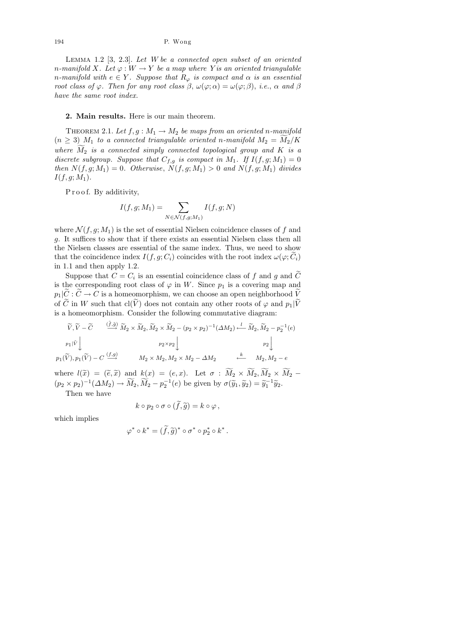LEMMA  $1.2$  [3,  $2.3$ ]. Let W be a connected open subset of an oriented n-manifold X. Let  $\varphi: W \to Y$  be a map where Y is an oriented triangulable n-manifold with  $e \in Y$ . Suppose that  $R_{\varphi}$  is compact and  $\alpha$  is an essential root class of  $\varphi$ . Then for any root class  $\beta$ ,  $\omega(\varphi; \alpha) = \omega(\varphi; \beta)$ , i.e.,  $\alpha$  and  $\beta$ have the same root index.

## 2. Main results. Here is our main theorem.

THEOREM 2.1. Let  $f, g: M_1 \to M_2$  be maps from an oriented n-manifold  $(n \geq 3)$  M<sub>1</sub> to a connected triangulable oriented n-manifold  $M_2 = M_2/K$ where  $M_2$  is a connected simply connected topological group and K is a discrete subgroup. Suppose that  $C_{f,g}$  is compact in  $M_1$ . If  $I(f,g;M_1) = 0$ then  $N(f, g; M_1) = 0$ . Otherwise,  $N(f, g; M_1) > 0$  and  $N(f, g; M_1)$  divides  $I(f, q; M_1).$ 

P r o o f. By additivity,

$$
I(f,g;M_1) = \sum_{N \in \mathcal{N}(f,g;M_1)} I(f,g;N)
$$

where  $\mathcal{N}(f, g; M_1)$  is the set of essential Nielsen coincidence classes of f and g. It suffices to show that if there exists an essential Nielsen class then all the Nielsen classes are essential of the same index. Thus, we need to show that the coincidence index  $I(f, g; C_i)$  coincides with the root index  $\omega(\varphi; \widetilde{C}_i)$ in 1.1 and then apply 1.2.

Suppose that  $C = C_i$  is an essential coincidence class of f and g and C is the corresponding root class of  $\varphi$  in W. Since  $p_1$  is a covering map and  $p_1|\widetilde{C}:\widetilde{C}\to C$  is a homeomorphism, we can choose an open neighborhood  $\widetilde{V}$ of  $\tilde{C}$  in W such that  $\text{cl}(\tilde{V})$  does not contain any other roots of  $\varphi$  and  $p_1|\tilde{V}$ is a homeomorphism. Consider the following commutative diagram:

$$
\widetilde{V}, \widetilde{V} - \widetilde{C} \qquad \xrightarrow{(\widetilde{f}, \widetilde{g})} \widetilde{M}_2 \times \widetilde{M}_2, \widetilde{M}_2 \times \widetilde{M}_2 - (p_2 \times p_2)^{-1} (\Delta M_2) \xleftarrow{l} \widetilde{M}_2, \widetilde{M}_2 - p_2^{-1}(e)
$$
\n
$$
p_1|\widetilde{V} \downarrow \qquad p_2 \times p_2 \downarrow \qquad p_2 \downarrow
$$
\n
$$
p_1(\widetilde{V}), p_1(\widetilde{V}) - C \xrightarrow{(f, g)} \qquad M_2 \times M_2, M_2 \times M_2 - \Delta M_2 \qquad \xleftarrow{k} \qquad M_2, M_2 - e
$$

where  $l(\tilde{x}) = (\tilde{e}, \tilde{x})$  and  $k(x) = (e, x)$ . Let  $\sigma : M_2 \times M_2, M_2 \times M_2$  $(p_2 \times p_2)^{-1}(\Delta M_2) \to \widetilde{M}_2, \widetilde{M}_2 - p_2^{-1}(e)$  be given by  $\sigma(\widetilde{y}_1, \widetilde{y}_2) = \widetilde{y}_1^{-1}\widetilde{y}_2$ .<br>Then we have

Then we have

$$
k \circ p_2 \circ \sigma \circ (\widetilde{f}, \widetilde{g}) = k \circ \varphi,
$$

which implies

$$
\varphi^* \circ k^* = (\widetilde{f}, \widetilde{g})^* \circ \sigma^* \circ p_2^* \circ k^*.
$$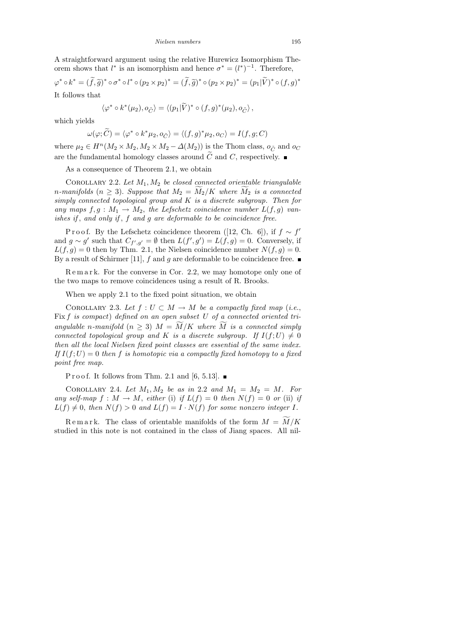A straightforward argument using the relative Hurewicz Isomorphism Theorem shows that  $l^*$  is an isomorphism and hence  $\sigma^* = (l^*)^{-1}$ . Therefore,

$$
\varphi^* \circ k^* = (\tilde{f}, \tilde{g})^* \circ \sigma^* \circ l^* \circ (p_2 \times p_2)^* = (\tilde{f}, \tilde{g})^* \circ (p_2 \times p_2)^* = (p_1 | \tilde{V})^* \circ (f, g)^*
$$
  
It follows that

$$
\langle \varphi^* \circ k^*(\mu_2), o_{\tilde{C}} \rangle = \langle (p_1 | \tilde{V})^* \circ (f, g)^*(\mu_2), o_{\tilde{C}} \rangle,
$$

which yields

$$
\omega(\varphi; \widetilde{C}) = \langle \varphi^* \circ k^* \mu_2, o_{\widetilde{C}} \rangle = \langle (f, g)^* \mu_2, o_C \rangle = I(f, g; C)
$$

where  $\mu_2 \in H^n(M_2 \times M_2, M_2 \times M_2 - \Delta(M_2))$  is the Thom class,  $o_{\tilde{C}}$  and  $o_C$ are the fundamental homology classes around  $\tilde{C}$  and C, respectively.

As a consequence of Theorem 2.1, we obtain

COROLLARY 2.2. Let  $M_1, M_2$  be closed connected orientable triangulable n-manifolds  $(n \geq 3)$ . Suppose that  $M_2 = M_2/K$  where  $M_2$  is a connected simply connected topological group and K is a discrete subgroup. Then for any maps  $f, g : M_1 \to M_2$ , the Lefschetz coincidence number  $L(f, g)$  vanishes if, and only if,  $f$  and  $g$  are deformable to be coincidence free.

P r o o f. By the Lefschetz coincidence theorem ([12, Ch. 6]), if  $f \sim f'$ and  $g \sim g'$  such that  $C_{f',g'} = \emptyset$  then  $L(f',g') = L(f,g) = 0$ . Conversely, if  $L(f, g) = 0$  then by Thm. 2.1, the Nielsen coincidence number  $N(f, g) = 0$ . By a result of Schirmer [11], f and g are deformable to be coincidence free.

R e m a r k. For the converse in Cor. 2.2, we may homotope only one of the two maps to remove coincidences using a result of R. Brooks.

When we apply 2.1 to the fixed point situation, we obtain

COROLLARY 2.3. Let  $f: U \subset M \to M$  be a compactly fixed map (i.e., Fix  $f$  is compact) defined on an open subset  $U$  of a connected oriented triangulable n-manifold  $(n \geq 3)$   $M = M/K$  where M is a connected simply connected topological group and K is a discrete subgroup. If  $I(f;U) \neq 0$ then all the local Nielsen fixed point classes are essential of the same index. If  $I(f;U) = 0$  then f is homotopic via a compactly fixed homotopy to a fixed point free map.

P r o o f. It follows from Thm. 2.1 and [6, 5.13].  $\blacksquare$ 

COROLLARY 2.4. Let  $M_1, M_2$  be as in 2.2 and  $M_1 = M_2 = M$ . For any self-map  $f : M \to M$ , either (i) if  $L(f) = 0$  then  $N(f) = 0$  or (ii) if  $L(f) \neq 0$ , then  $N(f) > 0$  and  $L(f) = I \cdot N(f)$  for some nonzero integer I.

Remark. The class of orientable manifolds of the form  $M = M/K$ studied in this note is not contained in the class of Jiang spaces. All nil-